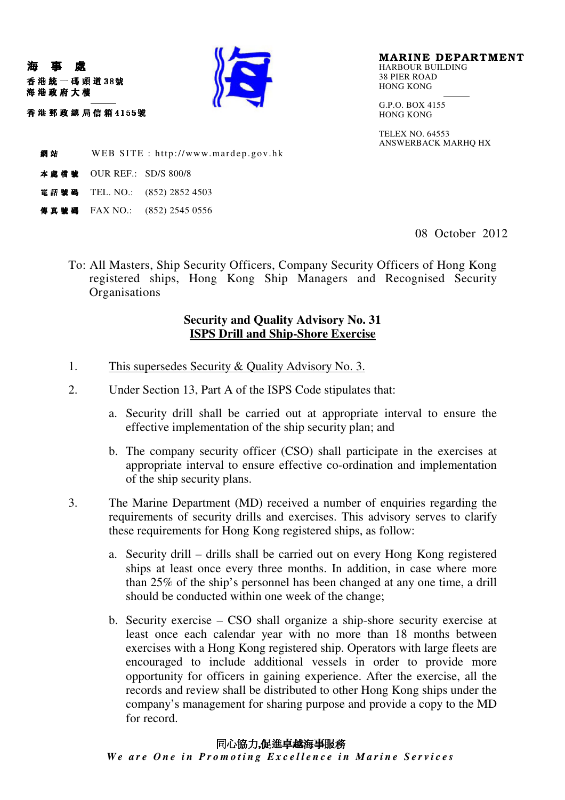

MARINE DEPARTMENT HARBOUR BUILDING 38 PIER ROAD HONG KONG

G.P.O. BOX 4155 HONG KONG

TELEX NO. 64553 ANSWERBACK MARHQ HX

**網站** WEB SITE : http://www.mardep.gov.hk

**本盧橋號 OUR REF.: SD/S 800/8** 

"!!

吞 港 郵 政 總 局 信 箱 4155號

海 事 處

海港政府大樓

- 電話號碼 TEL. NO.: (852) 2852 4503
- 傳真號碼 FAX NO.: (852) 2545 0556

08 October 2012

To: All Masters, Ship Security Officers, Company Security Officers of Hong Kong registered ships, Hong Kong Ship Managers and Recognised Security **Organisations** 

## **Security and Quality Advisory No. 31 ISPS Drill and Ship-Shore Exercise**

- 1. This supersedes Security & Quality Advisory No. 3.
- 2. Under Section 13, Part A of the ISPS Code stipulates that:
	- a. Security drill shall be carried out at appropriate interval to ensure the effective implementation of the ship security plan; and
	- b. The company security officer (CSO) shall participate in the exercises at appropriate interval to ensure effective co-ordination and implementation of the ship security plans.
- 3. The Marine Department (MD) received a number of enquiries regarding the requirements of security drills and exercises. This advisory serves to clarify these requirements for Hong Kong registered ships, as follow:
	- a. Security drill drills shall be carried out on every Hong Kong registered ships at least once every three months. In addition, in case where more than 25% of the ship's personnel has been changed at any one time, a drill should be conducted within one week of the change;
	- b. Security exercise CSO shall organize a ship-shore security exercise at least once each calendar year with no more than 18 months between exercises with a Hong Kong registered ship. Operators with large fleets are encouraged to include additional vessels in order to provide more opportunity for officers in gaining experience. After the exercise, all the records and review shall be distributed to other Hong Kong ships under the company's management for sharing purpose and provide a copy to the MD for record.